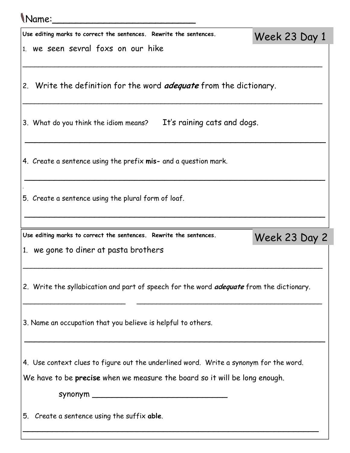## Name:\_\_\_\_\_\_\_\_\_\_\_\_\_\_\_\_\_\_\_\_\_\_\_\_\_

| Use editing marks to correct the sentences. Rewrite the sentences.                              | Week 23 Day 1 |  |
|-------------------------------------------------------------------------------------------------|---------------|--|
| 1. we seen sevral foxs on our hike                                                              |               |  |
| 2. Write the definition for the word <i>adequate</i> from the dictionary.                       |               |  |
| It's raining cats and dogs.<br>3. What do you think the idiom means?                            |               |  |
| 4. Create a sentence using the prefix <b>mis-</b> and a question mark.                          |               |  |
| 5. Create a sentence using the plural form of loaf.                                             |               |  |
| Use editing marks to correct the sentences. Rewrite the sentences.                              |               |  |
| 1. we gone to diner at pasta brothers                                                           | Week 23 Day 2 |  |
| 2. Write the syllabication and part of speech for the word <i>adequate</i> from the dictionary. |               |  |
| 3. Name an occupation that you believe is helpful to others.                                    |               |  |
| 4. Use context clues to figure out the underlined word. Write a synonym for the word.           |               |  |
| We have to be <b>precise</b> when we measure the board so it will be long enough.               |               |  |
| 5. Create a sentence using the suffix able.                                                     |               |  |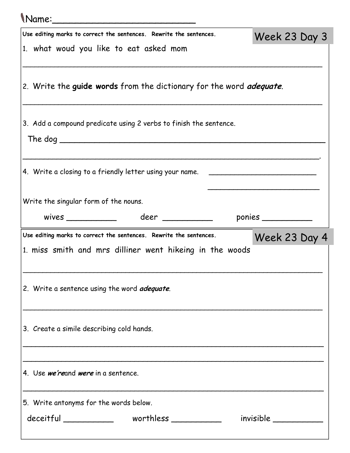## Name:\_\_\_\_\_\_\_\_\_\_\_\_\_\_\_\_\_\_\_\_\_\_\_\_\_ Use editing marks to correct the sentences. Rewrite the sentences. 1. what woud you like to eat asked mom \_\_\_\_\_\_\_\_\_\_\_\_\_\_\_\_\_\_\_\_\_\_\_\_\_\_\_\_\_\_\_\_\_\_\_\_\_\_\_\_\_\_\_\_\_\_\_\_\_\_\_\_\_\_\_\_\_\_\_\_\_\_\_\_\_\_\_\_\_\_\_\_\_\_\_\_ 2. Write the guide words from the dictionary for the word *adequate*. \_\_\_\_\_\_\_\_\_\_\_\_\_\_\_\_\_\_\_\_\_\_\_\_\_\_\_\_\_\_\_\_\_\_\_\_\_\_\_\_\_\_\_\_\_\_\_\_\_\_\_\_\_\_\_\_\_\_\_\_\_\_\_\_\_\_\_\_\_\_\_\_\_\_\_\_ 3. Add a compound predicate using 2 verbs to finish the sentence. The dog \_\_\_\_\_\_\_\_\_\_\_\_\_\_\_\_\_\_\_\_\_\_\_\_\_\_\_\_\_\_\_\_\_\_\_\_\_\_\_\_\_\_\_\_\_\_\_\_\_\_\_\_\_ \_\_\_\_\_\_\_\_\_\_\_\_\_\_\_\_\_\_\_\_\_\_\_\_\_\_\_\_\_\_\_\_\_\_\_\_\_\_\_\_\_\_\_\_\_\_\_\_\_\_\_\_\_\_\_\_\_\_\_\_\_\_\_\_\_\_\_\_\_. 4. Write a closing to a friendly letter using your name. \_\_\_\_\_\_\_\_\_\_\_\_\_\_\_\_\_\_\_\_\_\_\_  $\overline{\phantom{a}}$ Write the singular form of the nouns. wives \_\_\_\_\_\_\_\_\_\_ deer \_\_\_\_\_\_\_\_\_\_ ponies \_\_\_\_\_\_\_\_\_\_ Week 23 Day 3 Use editing marks to correct the sentences. Rewrite the sentences. 1. miss smith and mrs dilliner went hikeing in the woods \_\_\_\_\_\_\_\_\_\_\_\_\_\_\_\_\_\_\_\_\_\_\_\_\_\_\_\_\_\_\_\_\_\_\_\_\_\_\_\_\_\_\_\_\_\_\_\_\_\_\_\_\_\_\_\_\_\_\_\_\_\_\_\_\_\_\_\_\_\_\_\_\_\_\_\_ 2. Write a sentence using the word *adequate*. \_\_\_\_\_\_\_\_\_\_\_\_\_\_\_\_\_\_\_\_\_\_\_\_\_\_\_\_\_\_\_\_\_\_\_\_\_\_\_\_\_\_\_\_\_\_\_\_\_\_\_\_\_\_\_\_\_\_\_\_\_\_\_\_\_\_\_\_\_\_\_\_\_\_\_\_ 3. Create a simile describing cold hands. \_\_\_\_\_\_\_\_\_\_\_\_\_\_\_\_\_\_\_\_\_\_\_\_\_\_\_\_\_\_\_\_\_\_\_\_\_\_\_\_\_\_\_\_\_\_\_\_\_\_\_\_\_\_\_\_\_\_\_\_\_\_\_\_\_\_\_\_\_\_ \_\_\_\_\_\_\_\_\_\_\_\_\_\_\_\_\_\_\_\_\_\_\_\_\_\_\_\_\_\_\_\_\_\_\_\_\_\_\_\_\_\_\_\_\_\_\_\_\_\_\_\_\_\_\_\_\_\_\_\_\_\_\_\_\_\_\_\_\_\_ 4. Use we'reand were in a sentence. \_\_\_\_\_\_\_\_\_\_\_\_\_\_\_\_\_\_\_\_\_\_\_\_\_\_\_\_\_\_\_\_\_\_\_\_\_\_\_\_\_\_\_\_\_\_\_\_\_\_\_\_\_\_\_\_\_\_\_\_\_\_\_\_\_\_\_\_\_\_ 5. Write antonyms for the words below. deceitful worthless invisible Week 23 Day 4